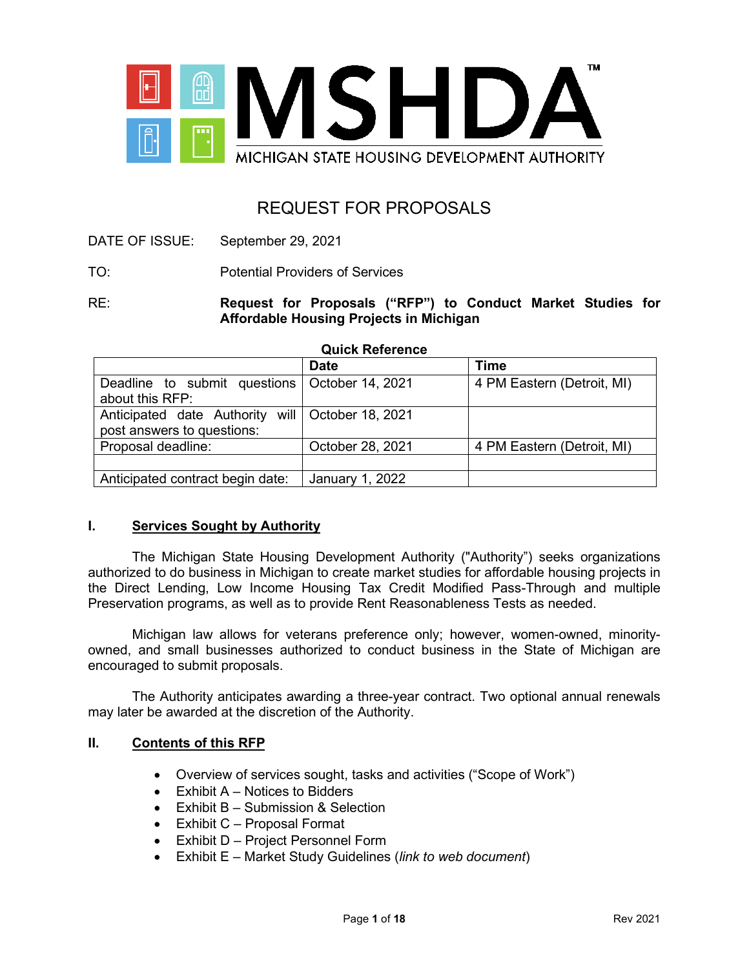

# REQUEST FOR PROPOSALS

- DATE OF ISSUE: September 29, 2021
- TO: Potential Providers of Services

RE: **Request for Proposals ("RFP") to Conduct Market Studies for Affordable Housing Projects in Michigan**

#### **Quick Reference**

|                                                    | <b>Date</b>      | <b>Time</b>                |  |
|----------------------------------------------------|------------------|----------------------------|--|
| Deadline to submit questions   October 14, 2021    |                  | 4 PM Eastern (Detroit, MI) |  |
| about this RFP:                                    |                  |                            |  |
| Anticipated date Authority will   October 18, 2021 |                  |                            |  |
| post answers to questions:                         |                  |                            |  |
| Proposal deadline:                                 | October 28, 2021 | 4 PM Eastern (Detroit, MI) |  |
|                                                    |                  |                            |  |
| Anticipated contract begin date:                   | January 1, 2022  |                            |  |

#### **I. Services Sought by Authority**

The Michigan State Housing Development Authority ("Authority") seeks organizations authorized to do business in Michigan to create market studies for affordable housing projects in the Direct Lending, Low Income Housing Tax Credit Modified Pass-Through and multiple Preservation programs, as well as to provide Rent Reasonableness Tests as needed.

Michigan law allows for veterans preference only; however, women-owned, minorityowned, and small businesses authorized to conduct business in the State of Michigan are encouraged to submit proposals.

The Authority anticipates awarding a three-year contract. Two optional annual renewals may later be awarded at the discretion of the Authority.

#### **II. Contents of this RFP**

- Overview of services sought, tasks and activities ("Scope of Work")
- Exhibit A Notices to Bidders
- Exhibit B Submission & Selection
- Exhibit C Proposal Format
- Exhibit D Project Personnel Form
- Exhibit E Market Study Guidelines (*link to web document*)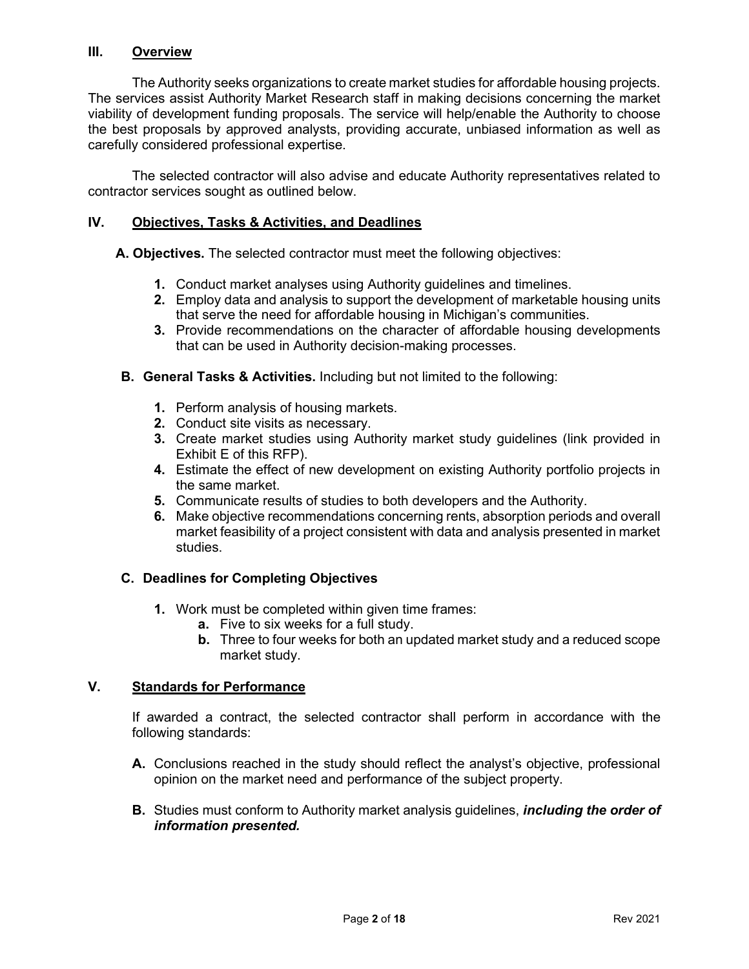#### **III. Overview**

The Authority seeks organizations to create market studies for affordable housing projects. The services assist Authority Market Research staff in making decisions concerning the market viability of development funding proposals. The service will help/enable the Authority to choose the best proposals by approved analysts, providing accurate, unbiased information as well as carefully considered professional expertise.

The selected contractor will also advise and educate Authority representatives related to contractor services sought as outlined below.

#### **IV. Objectives, Tasks & Activities, and Deadlines**

**A. Objectives.** The selected contractor must meet the following objectives:

- **1.** Conduct market analyses using Authority guidelines and timelines.
- **2.** Employ data and analysis to support the development of marketable housing units that serve the need for affordable housing in Michigan's communities.
- **3.** Provide recommendations on the character of affordable housing developments that can be used in Authority decision-making processes.
- **B. General Tasks & Activities.** Including but not limited to the following:
	- **1.** Perform analysis of housing markets.
	- **2.** Conduct site visits as necessary.
	- **3.** Create market studies using Authority market study guidelines (link provided in Exhibit E of this RFP).
	- **4.** Estimate the effect of new development on existing Authority portfolio projects in the same market.
	- **5.** Communicate results of studies to both developers and the Authority.
	- **6.** Make objective recommendations concerning rents, absorption periods and overall market feasibility of a project consistent with data and analysis presented in market studies.

## **C. Deadlines for Completing Objectives**

- **1.** Work must be completed within given time frames:
	- **a.** Five to six weeks for a full study.
	- **b.** Three to four weeks for both an updated market study and a reduced scope market study.

#### **V. Standards for Performance**

If awarded a contract, the selected contractor shall perform in accordance with the following standards:

- **A.** Conclusions reached in the study should reflect the analyst's objective, professional opinion on the market need and performance of the subject property.
- **B.** Studies must conform to Authority market analysis guidelines, *including the order of information presented.*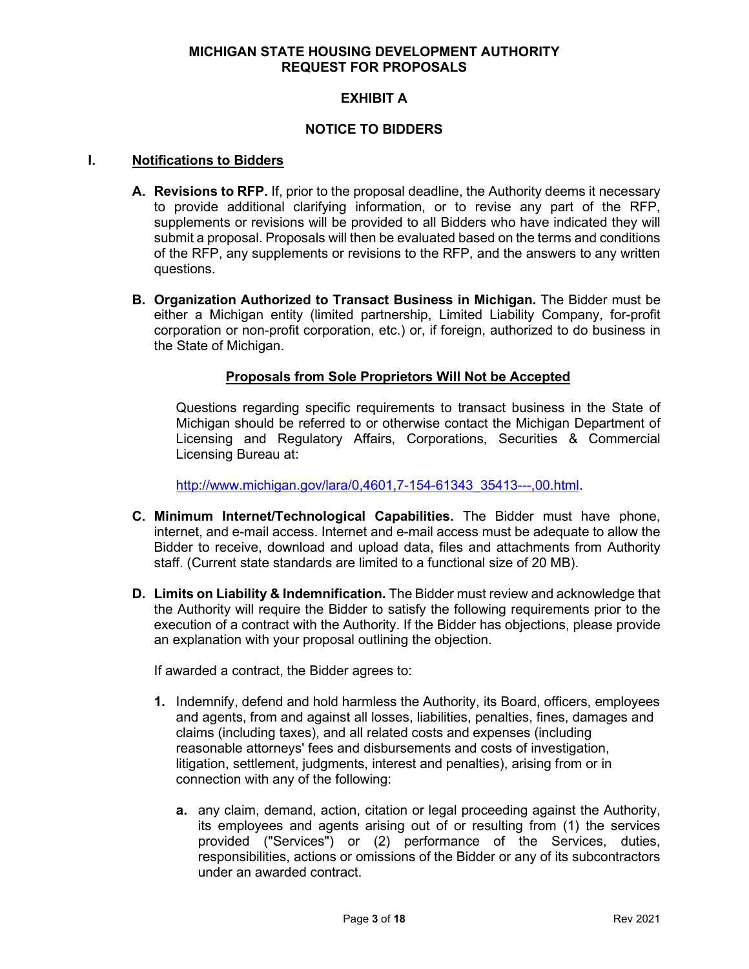## **EXHIBIT A**

#### **NOTICE TO BIDDERS**

#### **I. Notifications to Bidders**

- **A. Revisions to RFP.** If, prior to the proposal deadline, the Authority deems it necessary to provide additional clarifying information, or to revise any part of the RFP, supplements or revisions will be provided to all Bidders who have indicated they will submit a proposal. Proposals will then be evaluated based on the terms and conditions of the RFP, any supplements or revisions to the RFP, and the answers to any written questions.
- **B. Organization Authorized to Transact Business in Michigan.** The Bidder must be either a Michigan entity (limited partnership, Limited Liability Company, for-profit corporation or non-profit corporation, etc.) or, if foreign, authorized to do business in the State of Michigan.

#### **Proposals from Sole Proprietors Will Not be Accepted**

Questions regarding specific requirements to transact business in the State of Michigan should be referred to or otherwise contact the Michigan Department of Licensing and Regulatory Affairs, Corporations, Securities & Commercial Licensing Bureau at:

[http://www.michigan.gov/lara/0,4601,7-154-61343\\_35413---,00.html.](http://www.michigan.gov/lara/0,4601,7-154-61343_35413---,00.html)

- **C. Minimum Internet/Technological Capabilities.** The Bidder must have phone, internet, and e-mail access. Internet and e-mail access must be adequate to allow the Bidder to receive, download and upload data, files and attachments from Authority staff. (Current state standards are limited to a functional size of 20 MB).
- **D. Limits on Liability & Indemnification.** The Bidder must review and acknowledge that the Authority will require the Bidder to satisfy the following requirements prior to the execution of a contract with the Authority. If the Bidder has objections, please provide an explanation with your proposal outlining the objection.

If awarded a contract, the Bidder agrees to:

- **1.** Indemnify, defend and hold harmless the Authority, its Board, officers, employees and agents, from and against all losses, liabilities, penalties, fines, damages and claims (including taxes), and all related costs and expenses (including reasonable attorneys' fees and disbursements and costs of investigation, litigation, settlement, judgments, interest and penalties), arising from or in connection with any of the following:
	- **a.** any claim, demand, action, citation or legal proceeding against the Authority, its employees and agents arising out of or resulting from (1) the services provided ("Services") or (2) performance of the Services, duties, responsibilities, actions or omissions of the Bidder or any of its subcontractors under an awarded contract.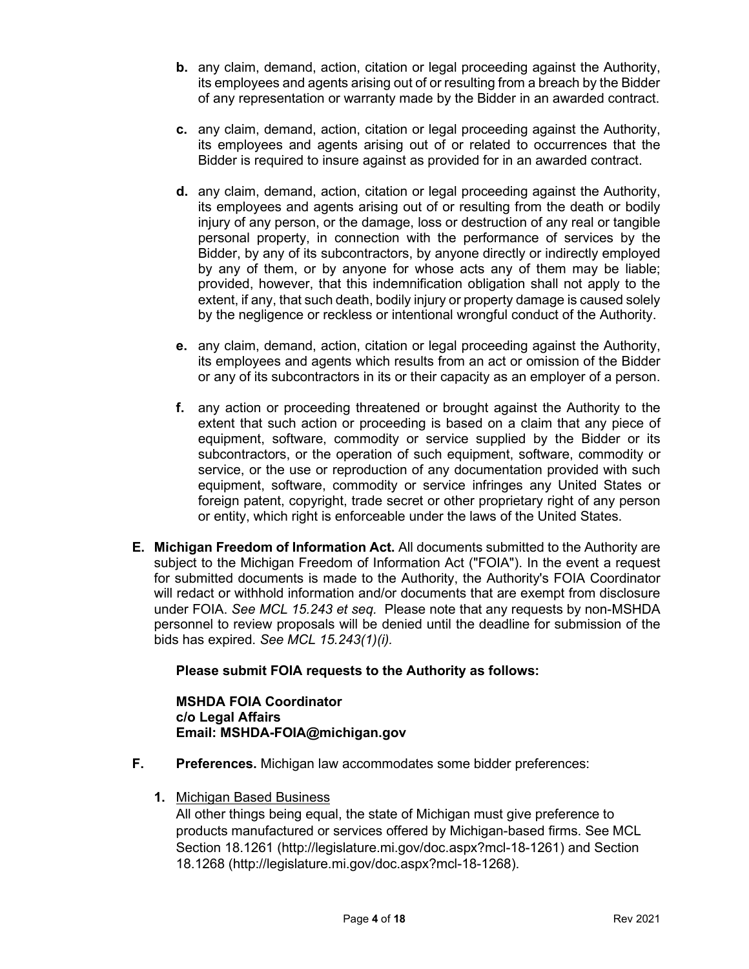- **b.** any claim, demand, action, citation or legal proceeding against the Authority, its employees and agents arising out of or resulting from a breach by the Bidder of any representation or warranty made by the Bidder in an awarded contract.
- **c.** any claim, demand, action, citation or legal proceeding against the Authority, its employees and agents arising out of or related to occurrences that the Bidder is required to insure against as provided for in an awarded contract.
- **d.** any claim, demand, action, citation or legal proceeding against the Authority, its employees and agents arising out of or resulting from the death or bodily injury of any person, or the damage, loss or destruction of any real or tangible personal property, in connection with the performance of services by the Bidder, by any of its subcontractors, by anyone directly or indirectly employed by any of them, or by anyone for whose acts any of them may be liable; provided, however, that this indemnification obligation shall not apply to the extent, if any, that such death, bodily injury or property damage is caused solely by the negligence or reckless or intentional wrongful conduct of the Authority.
- **e.** any claim, demand, action, citation or legal proceeding against the Authority, its employees and agents which results from an act or omission of the Bidder or any of its subcontractors in its or their capacity as an employer of a person.
- **f.** any action or proceeding threatened or brought against the Authority to the extent that such action or proceeding is based on a claim that any piece of equipment, software, commodity or service supplied by the Bidder or its subcontractors, or the operation of such equipment, software, commodity or service, or the use or reproduction of any documentation provided with such equipment, software, commodity or service infringes any United States or foreign patent, copyright, trade secret or other proprietary right of any person or entity, which right is enforceable under the laws of the United States.
- **E. Michigan Freedom of Information Act.** All documents submitted to the Authority are subject to the Michigan Freedom of Information Act ("FOIA"). In the event a request for submitted documents is made to the Authority, the Authority's FOIA Coordinator will redact or withhold information and/or documents that are exempt from disclosure under FOIA. *See MCL 15.243 et seq.* Please note that any requests by non-MSHDA personnel to review proposals will be denied until the deadline for submission of the bids has expired. *See MCL 15.243(1)(i).*

## **Please submit FOIA requests to the Authority as follows:**

#### **MSHDA FOIA Coordinator c/o Legal Affairs Email: MSHDA-FOIA@michigan.gov**

- **F. Preferences.** Michigan law accommodates some bidder preferences:
	- **1.** Michigan Based Business

All other things being equal, the state of Michigan must give preference to products manufactured or services offered by Michigan-based firms. See MCL Section 18.1261 (http://legislature.mi.gov/doc.aspx?mcl-18-1261) and Section 18.1268 (http://legislature.mi.gov/doc.aspx?mcl-18-1268).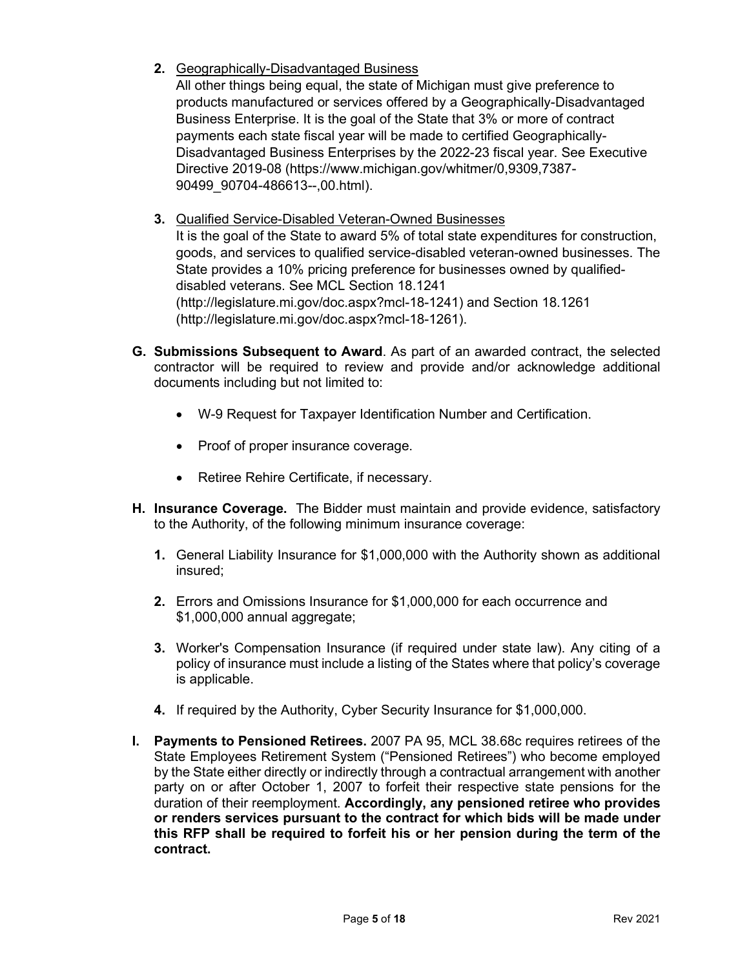**2.** Geographically-Disadvantaged Business

All other things being equal, the state of Michigan must give preference to products manufactured or services offered by a Geographically-Disadvantaged Business Enterprise. It is the goal of the State that 3% or more of contract payments each state fiscal year will be made to certified Geographically-Disadvantaged Business Enterprises by the 2022-23 fiscal year. See Executive Directive 2019-08 (https://www.michigan.gov/whitmer/0,9309,7387- 90499\_90704-486613--,00.html).

**3.** Qualified Service-Disabled Veteran-Owned Businesses

It is the goal of the State to award 5% of total state expenditures for construction, goods, and services to qualified service-disabled veteran-owned businesses. The State provides a 10% pricing preference for businesses owned by qualifieddisabled veterans. See MCL Section 18.1241 (http://legislature.mi.gov/doc.aspx?mcl-18-1241) and Section 18.1261 (http://legislature.mi.gov/doc.aspx?mcl-18-1261).

- **G. Submissions Subsequent to Award**. As part of an awarded contract, the selected contractor will be required to review and provide and/or acknowledge additional documents including but not limited to:
	- W-9 Request for Taxpayer Identification Number and Certification.
	- Proof of proper insurance coverage.
	- Retiree Rehire Certificate, if necessary.
- **H. Insurance Coverage.** The Bidder must maintain and provide evidence, satisfactory to the Authority, of the following minimum insurance coverage:
	- **1.** General Liability Insurance for \$1,000,000 with the Authority shown as additional insured;
	- **2.** Errors and Omissions Insurance for \$1,000,000 for each occurrence and \$1,000,000 annual aggregate;
	- **3.** Worker's Compensation Insurance (if required under state law). Any citing of a policy of insurance must include a listing of the States where that policy's coverage is applicable.
	- **4.** If required by the Authority, Cyber Security Insurance for \$1,000,000.
- **I. Payments to Pensioned Retirees.** 2007 PA 95, MCL 38.68c requires retirees of the State Employees Retirement System ("Pensioned Retirees") who become employed by the State either directly or indirectly through a contractual arrangement with another party on or after October 1, 2007 to forfeit their respective state pensions for the duration of their reemployment. **Accordingly, any pensioned retiree who provides or renders services pursuant to the contract for which bids will be made under this RFP shall be required to forfeit his or her pension during the term of the contract.**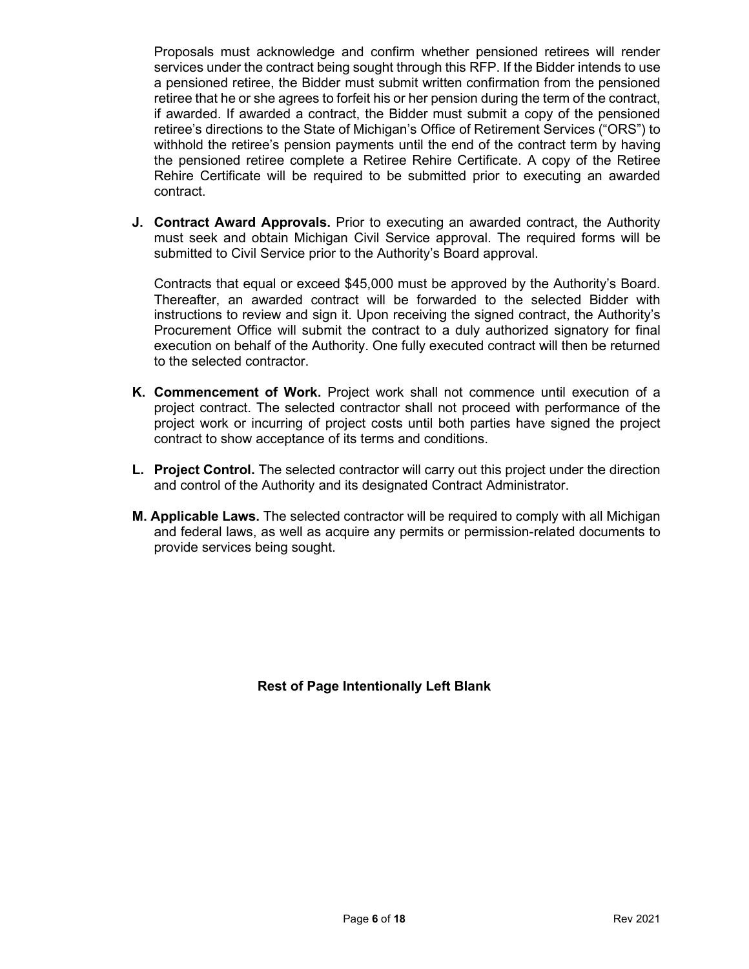Proposals must acknowledge and confirm whether pensioned retirees will render services under the contract being sought through this RFP. If the Bidder intends to use a pensioned retiree, the Bidder must submit written confirmation from the pensioned retiree that he or she agrees to forfeit his or her pension during the term of the contract, if awarded. If awarded a contract, the Bidder must submit a copy of the pensioned retiree's directions to the State of Michigan's Office of Retirement Services ("ORS") to withhold the retiree's pension payments until the end of the contract term by having the pensioned retiree complete a Retiree Rehire Certificate. A copy of the Retiree Rehire Certificate will be required to be submitted prior to executing an awarded contract.

**J. Contract Award Approvals.** Prior to executing an awarded contract, the Authority must seek and obtain Michigan Civil Service approval. The required forms will be submitted to Civil Service prior to the Authority's Board approval.

Contracts that equal or exceed \$45,000 must be approved by the Authority's Board. Thereafter, an awarded contract will be forwarded to the selected Bidder with instructions to review and sign it. Upon receiving the signed contract, the Authority's Procurement Office will submit the contract to a duly authorized signatory for final execution on behalf of the Authority. One fully executed contract will then be returned to the selected contractor.

- **K. Commencement of Work.** Project work shall not commence until execution of a project contract. The selected contractor shall not proceed with performance of the project work or incurring of project costs until both parties have signed the project contract to show acceptance of its terms and conditions.
- **L. Project Control.** The selected contractor will carry out this project under the direction and control of the Authority and its designated Contract Administrator.
- **M. Applicable Laws.** The selected contractor will be required to comply with all Michigan and federal laws, as well as acquire any permits or permission-related documents to provide services being sought.

**Rest of Page Intentionally Left Blank**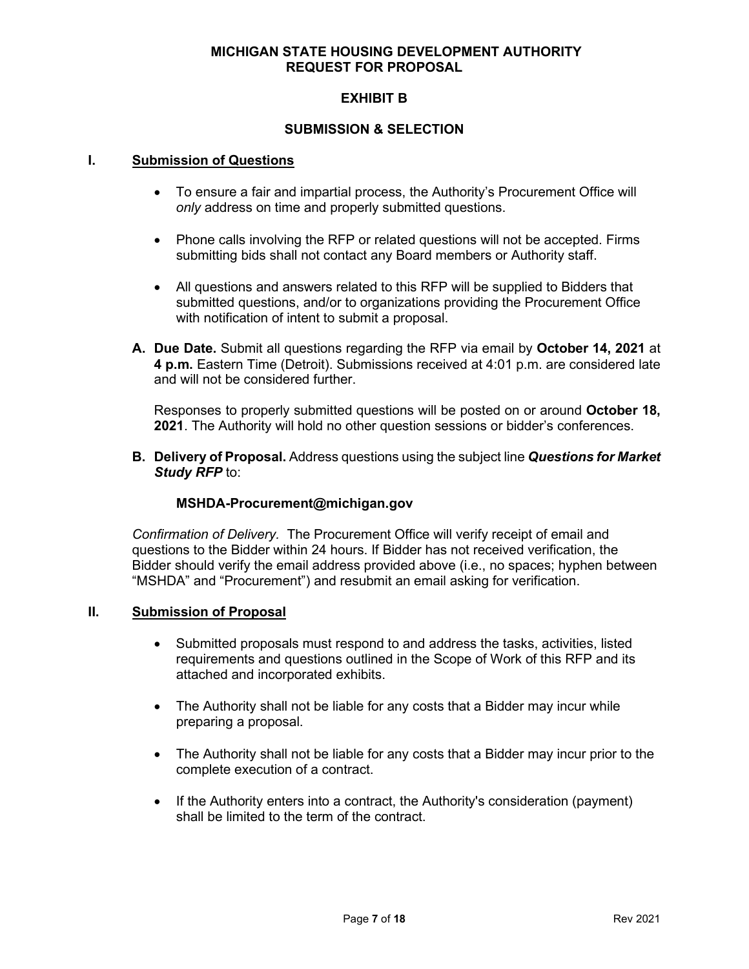## **EXHIBIT B**

#### **SUBMISSION & SELECTION**

#### **I. Submission of Questions**

- To ensure a fair and impartial process, the Authority's Procurement Office will *only* address on time and properly submitted questions.
- Phone calls involving the RFP or related questions will not be accepted. Firms submitting bids shall not contact any Board members or Authority staff.
- All questions and answers related to this RFP will be supplied to Bidders that submitted questions, and/or to organizations providing the Procurement Office with notification of intent to submit a proposal.
- **A. Due Date.** Submit all questions regarding the RFP via email by **October 14, 2021** at **4 p.m.** Eastern Time (Detroit). Submissions received at 4:01 p.m. are considered late and will not be considered further.

Responses to properly submitted questions will be posted on or around **October 18, 2021**. The Authority will hold no other question sessions or bidder's conferences.

**B. Delivery of Proposal.** Address questions using the subject line *Questions for Market Study RFP* to:

## **MSHDA-Procurement@michigan.gov**

*Confirmation of Delivery.* The Procurement Office will verify receipt of email and questions to the Bidder within 24 hours. If Bidder has not received verification, the Bidder should verify the email address provided above (i.e., no spaces; hyphen between "MSHDA" and "Procurement") and resubmit an email asking for verification.

#### **II. Submission of Proposal**

- Submitted proposals must respond to and address the tasks, activities, listed requirements and questions outlined in the Scope of Work of this RFP and its attached and incorporated exhibits.
- The Authority shall not be liable for any costs that a Bidder may incur while preparing a proposal.
- The Authority shall not be liable for any costs that a Bidder may incur prior to the complete execution of a contract.
- If the Authority enters into a contract, the Authority's consideration (payment) shall be limited to the term of the contract.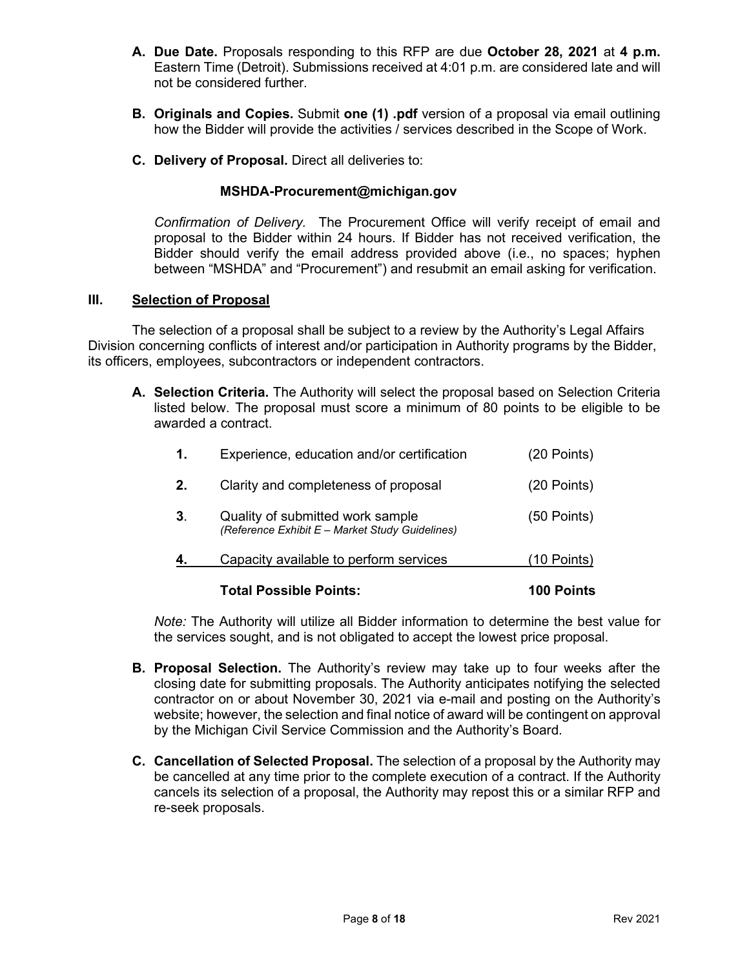- **A. Due Date.** Proposals responding to this RFP are due **October 28, 2021** at **4 p.m.** Eastern Time (Detroit). Submissions received at 4:01 p.m. are considered late and will not be considered further.
- **B. Originals and Copies.** Submit **one (1) .pdf** version of a proposal via email outlining how the Bidder will provide the activities / services described in the Scope of Work.
- **C. Delivery of Proposal.** Direct all deliveries to:

#### **MSHDA-Procurement@michigan.gov**

*Confirmation of Delivery.* The Procurement Office will verify receipt of email and proposal to the Bidder within 24 hours. If Bidder has not received verification, the Bidder should verify the email address provided above (i.e., no spaces; hyphen between "MSHDA" and "Procurement") and resubmit an email asking for verification.

#### **III. Selection of Proposal**

The selection of a proposal shall be subject to a review by the Authority's Legal Affairs Division concerning conflicts of interest and/or participation in Authority programs by the Bidder, its officers, employees, subcontractors or independent contractors.

**A. Selection Criteria.** The Authority will select the proposal based on Selection Criteria listed below. The proposal must score a minimum of 80 points to be eligible to be awarded a contract.

|    | Total Possible Points:                                                              | 100 Points    |
|----|-------------------------------------------------------------------------------------|---------------|
|    | Capacity available to perform services                                              | (10 Points)   |
| 3. | Quality of submitted work sample<br>(Reference Exhibit E - Market Study Guidelines) | (50 Points)   |
| 2. | Clarity and completeness of proposal                                                | $(20$ Points) |
| 1. | Experience, education and/or certification                                          | (20 Points)   |

*Note:* The Authority will utilize all Bidder information to determine the best value for the services sought, and is not obligated to accept the lowest price proposal.

- **B. Proposal Selection.** The Authority's review may take up to four weeks after the closing date for submitting proposals. The Authority anticipates notifying the selected contractor on or about November 30, 2021 via e-mail and posting on the Authority's website; however, the selection and final notice of award will be contingent on approval by the Michigan Civil Service Commission and the Authority's Board.
- **C. Cancellation of Selected Proposal.** The selection of a proposal by the Authority may be cancelled at any time prior to the complete execution of a contract. If the Authority cancels its selection of a proposal, the Authority may repost this or a similar RFP and re-seek proposals.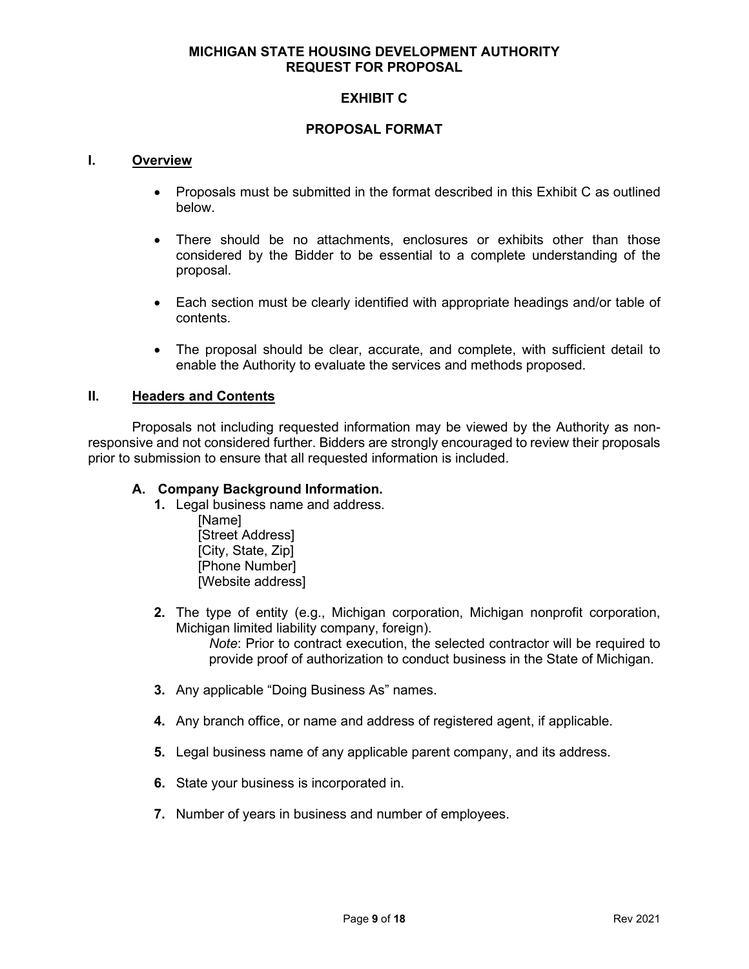## **EXHIBIT C**

#### **PROPOSAL FORMAT**

#### **I. Overview**

- Proposals must be submitted in the format described in this Exhibit C as outlined below.
- There should be no attachments, enclosures or exhibits other than those considered by the Bidder to be essential to a complete understanding of the proposal.
- Each section must be clearly identified with appropriate headings and/or table of contents.
- The proposal should be clear, accurate, and complete, with sufficient detail to enable the Authority to evaluate the services and methods proposed.

#### **II. Headers and Contents**

Proposals not including requested information may be viewed by the Authority as nonresponsive and not considered further. Bidders are strongly encouraged to review their proposals prior to submission to ensure that all requested information is included.

#### **A. Company Background Information.**

- **1.** Legal business name and address.
	- [Name] [Street Address] [City, State, Zip] [Phone Number] [Website address]
- **2.** The type of entity (e.g., Michigan corporation, Michigan nonprofit corporation, Michigan limited liability company, foreign).

*Note*: Prior to contract execution, the selected contractor will be required to provide proof of authorization to conduct business in the State of Michigan.

- **3.** Any applicable "Doing Business As" names.
- **4.** Any branch office, or name and address of registered agent, if applicable.
- **5.** Legal business name of any applicable parent company, and its address.
- **6.** State your business is incorporated in.
- **7.** Number of years in business and number of employees.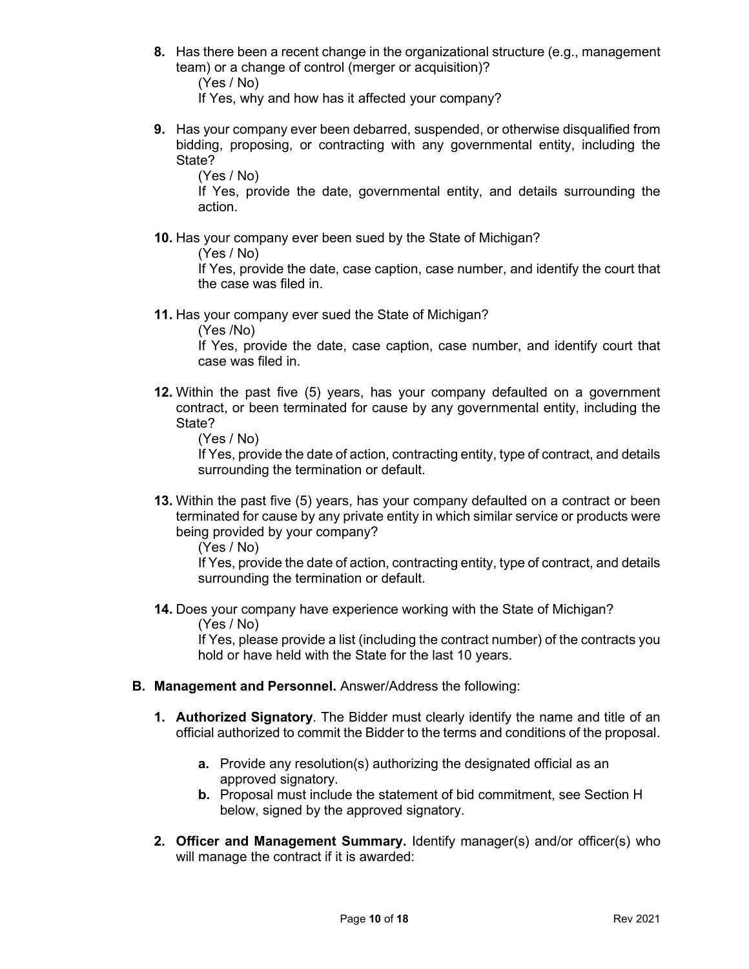**8.** Has there been a recent change in the organizational structure (e.g., management team) or a change of control (merger or acquisition)?

(Yes / No)

If Yes, why and how has it affected your company?

**9.** Has your company ever been debarred, suspended, or otherwise disqualified from bidding, proposing, or contracting with any governmental entity, including the State?

(Yes / No)

If Yes, provide the date, governmental entity, and details surrounding the action.

**10.** Has your company ever been sued by the State of Michigan?

(Yes / No)

If Yes, provide the date, case caption, case number, and identify the court that the case was filed in.

**11.** Has your company ever sued the State of Michigan?

(Yes /No)

If Yes, provide the date, case caption, case number, and identify court that case was filed in.

**12.** Within the past five (5) years, has your company defaulted on a government contract, or been terminated for cause by any governmental entity, including the State?

(Yes / No)

If Yes, provide the date of action, contracting entity, type of contract, and details surrounding the termination or default.

**13.** Within the past five (5) years, has your company defaulted on a contract or been terminated for cause by any private entity in which similar service or products were being provided by your company?

(Yes / No)

If Yes, provide the date of action, contracting entity, type of contract, and details surrounding the termination or default.

**14.** Does your company have experience working with the State of Michigan? (Yes / No)

If Yes, please provide a list (including the contract number) of the contracts you hold or have held with the State for the last 10 years.

- **B. Management and Personnel.** Answer/Address the following:
	- **1. Authorized Signatory**. The Bidder must clearly identify the name and title of an official authorized to commit the Bidder to the terms and conditions of the proposal.
		- **a.** Provide any resolution(s) authorizing the designated official as an approved signatory.
		- **b.** Proposal must include the statement of bid commitment, see Section H below, signed by the approved signatory.
	- **2. Officer and Management Summary.** Identify manager(s) and/or officer(s) who will manage the contract if it is awarded: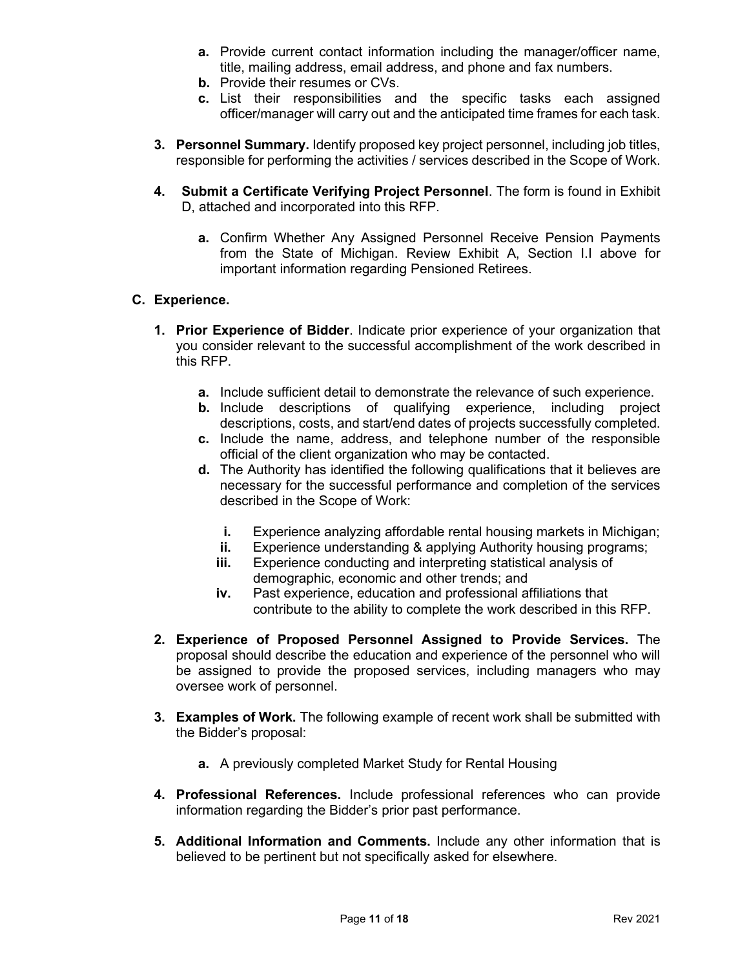- **a.** Provide current contact information including the manager/officer name, title, mailing address, email address, and phone and fax numbers.
- **b.** Provide their resumes or CVs.
- **c.** List their responsibilities and the specific tasks each assigned officer/manager will carry out and the anticipated time frames for each task.
- **3. Personnel Summary.** Identify proposed key project personnel, including job titles, responsible for performing the activities / services described in the Scope of Work.
- **4. Submit a Certificate Verifying Project Personnel**. The form is found in Exhibit D, attached and incorporated into this RFP.
	- **a.** Confirm Whether Any Assigned Personnel Receive Pension Payments from the State of Michigan. Review Exhibit A, Section I.I above for important information regarding Pensioned Retirees.

## **C. Experience.**

- **1. Prior Experience of Bidder**. Indicate prior experience of your organization that you consider relevant to the successful accomplishment of the work described in this RFP.
	- **a.** Include sufficient detail to demonstrate the relevance of such experience.
	- **b.** Include descriptions of qualifying experience, including project descriptions, costs, and start/end dates of projects successfully completed.
	- **c.** Include the name, address, and telephone number of the responsible official of the client organization who may be contacted.
	- **d.** The Authority has identified the following qualifications that it believes are necessary for the successful performance and completion of the services described in the Scope of Work:
		- **i.** Experience analyzing affordable rental housing markets in Michigan;<br>**ii.** Experience understanding & applying Authority housing programs:
		- Experience understanding & applying Authority housing programs;
		- **iii.** Experience conducting and interpreting statistical analysis of demographic, economic and other trends; and
		- **iv.** Past experience, education and professional affiliations that contribute to the ability to complete the work described in this RFP.
- **2. Experience of Proposed Personnel Assigned to Provide Services.** The proposal should describe the education and experience of the personnel who will be assigned to provide the proposed services, including managers who may oversee work of personnel.
- **3. Examples of Work.** The following example of recent work shall be submitted with the Bidder's proposal:
	- **a.** A previously completed Market Study for Rental Housing
- **4. Professional References.** Include professional references who can provide information regarding the Bidder's prior past performance.
- **5. Additional Information and Comments.** Include any other information that is believed to be pertinent but not specifically asked for elsewhere.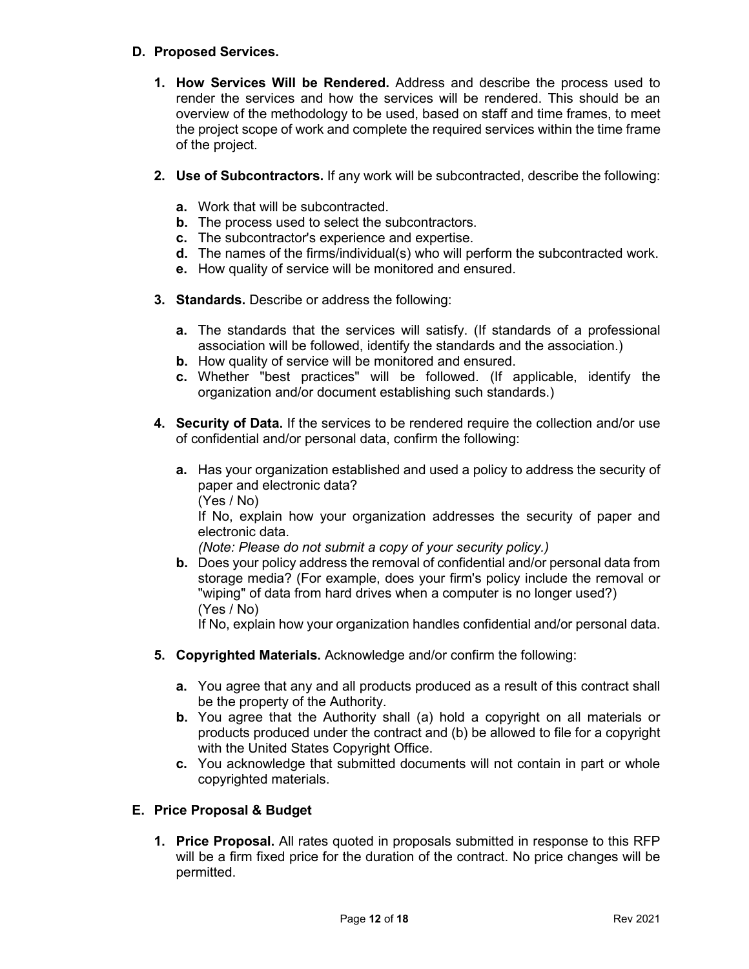## **D. Proposed Services.**

- **1. How Services Will be Rendered.** Address and describe the process used to render the services and how the services will be rendered. This should be an overview of the methodology to be used, based on staff and time frames, to meet the project scope of work and complete the required services within the time frame of the project.
- **2. Use of Subcontractors.** If any work will be subcontracted, describe the following:
	- **a.** Work that will be subcontracted.
	- **b.** The process used to select the subcontractors.
	- **c.** The subcontractor's experience and expertise.
	- **d.** The names of the firms/individual(s) who will perform the subcontracted work.
	- **e.** How quality of service will be monitored and ensured.
- **3. Standards.** Describe or address the following:
	- **a.** The standards that the services will satisfy. (If standards of a professional association will be followed, identify the standards and the association.)
	- **b.** How quality of service will be monitored and ensured.
	- **c.** Whether "best practices" will be followed. (If applicable, identify the organization and/or document establishing such standards.)
- **4. Security of Data.** If the services to be rendered require the collection and/or use of confidential and/or personal data, confirm the following:
	- **a.** Has your organization established and used a policy to address the security of paper and electronic data?

(Yes / No)

If No, explain how your organization addresses the security of paper and electronic data.

*(Note: Please do not submit a copy of your security policy.)* 

**b.** Does your policy address the removal of confidential and/or personal data from storage media? (For example, does your firm's policy include the removal or "wiping" of data from hard drives when a computer is no longer used?) (Yes / No)

If No, explain how your organization handles confidential and/or personal data.

- **5. Copyrighted Materials.** Acknowledge and/or confirm the following:
	- **a.** You agree that any and all products produced as a result of this contract shall be the property of the Authority.
	- **b.** You agree that the Authority shall (a) hold a copyright on all materials or products produced under the contract and (b) be allowed to file for a copyright with the United States Copyright Office.
	- **c.** You acknowledge that submitted documents will not contain in part or whole copyrighted materials.

## **E. Price Proposal & Budget**

**1. Price Proposal.** All rates quoted in proposals submitted in response to this RFP will be a firm fixed price for the duration of the contract. No price changes will be permitted.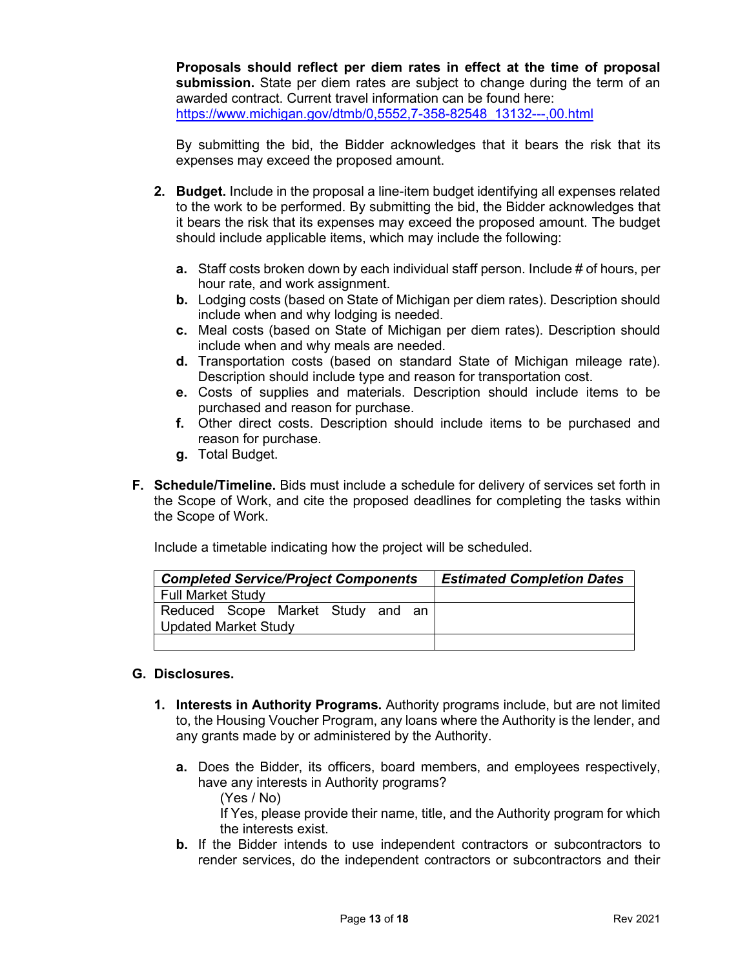**Proposals should reflect per diem rates in effect at the time of proposal submission.** State per diem rates are subject to change during the term of an awarded contract. Current travel information can be found here: [https://www.michigan.gov/dtmb/0,5552,7-358-82548\\_13132---,00.html](https://www.michigan.gov/dtmb/0,5552,7-358-82548_13132---,00.html)

By submitting the bid, the Bidder acknowledges that it bears the risk that its expenses may exceed the proposed amount.

- **2. Budget.** Include in the proposal a line-item budget identifying all expenses related to the work to be performed. By submitting the bid, the Bidder acknowledges that it bears the risk that its expenses may exceed the proposed amount. The budget should include applicable items, which may include the following:
	- **a.** Staff costs broken down by each individual staff person. Include # of hours, per hour rate, and work assignment.
	- **b.** Lodging costs (based on State of Michigan per diem rates). Description should include when and why lodging is needed.
	- **c.** Meal costs (based on State of Michigan per diem rates). Description should include when and why meals are needed.
	- **d.** Transportation costs (based on standard State of Michigan mileage rate). Description should include type and reason for transportation cost.
	- **e.** Costs of supplies and materials. Description should include items to be purchased and reason for purchase.
	- **f.** Other direct costs. Description should include items to be purchased and reason for purchase.
	- **g.** Total Budget.
- **F. Schedule/Timeline.** Bids must include a schedule for delivery of services set forth in the Scope of Work, and cite the proposed deadlines for completing the tasks within the Scope of Work.

Include a timetable indicating how the project will be scheduled.

| <b>Completed Service/Project Components</b> |  |  |  | <b>Estimated Completion Dates</b> |  |  |
|---------------------------------------------|--|--|--|-----------------------------------|--|--|
| <b>Full Market Study</b>                    |  |  |  |                                   |  |  |
| Reduced Scope Market Study and an           |  |  |  |                                   |  |  |
| Updated Market Study                        |  |  |  |                                   |  |  |
|                                             |  |  |  |                                   |  |  |

## **G. Disclosures.**

- **1. Interests in Authority Programs.** Authority programs include, but are not limited to, the Housing Voucher Program, any loans where the Authority is the lender, and any grants made by or administered by the Authority.
	- **a.** Does the Bidder, its officers, board members, and employees respectively, have any interests in Authority programs? (Yes / No)

If Yes, please provide their name, title, and the Authority program for which the interests exist.

**b.** If the Bidder intends to use independent contractors or subcontractors to render services, do the independent contractors or subcontractors and their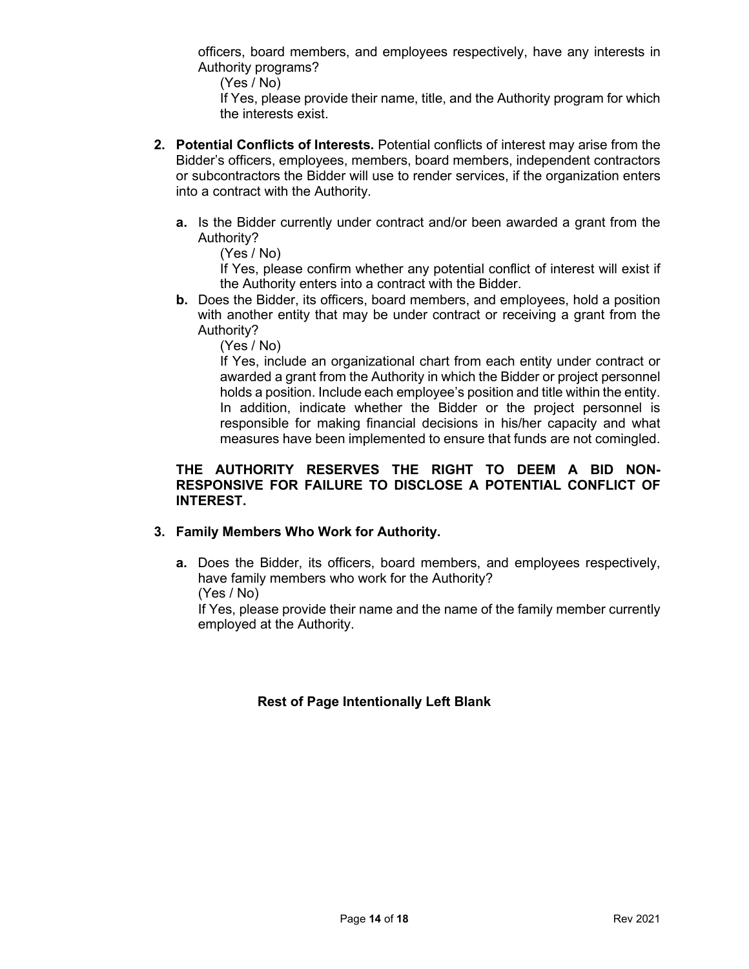officers, board members, and employees respectively, have any interests in Authority programs?

(Yes / No)

If Yes, please provide their name, title, and the Authority program for which the interests exist.

- **2. Potential Conflicts of Interests.** Potential conflicts of interest may arise from the Bidder's officers, employees, members, board members, independent contractors or subcontractors the Bidder will use to render services, if the organization enters into a contract with the Authority.
	- **a.** Is the Bidder currently under contract and/or been awarded a grant from the Authority?

(Yes / No)

If Yes, please confirm whether any potential conflict of interest will exist if the Authority enters into a contract with the Bidder.

**b.** Does the Bidder, its officers, board members, and employees, hold a position with another entity that may be under contract or receiving a grant from the Authority?

(Yes / No)

If Yes, include an organizational chart from each entity under contract or awarded a grant from the Authority in which the Bidder or project personnel holds a position. Include each employee's position and title within the entity. In addition, indicate whether the Bidder or the project personnel is responsible for making financial decisions in his/her capacity and what measures have been implemented to ensure that funds are not comingled.

#### **THE AUTHORITY RESERVES THE RIGHT TO DEEM A BID NON-RESPONSIVE FOR FAILURE TO DISCLOSE A POTENTIAL CONFLICT OF INTEREST.**

## **3. Family Members Who Work for Authority.**

**a.** Does the Bidder, its officers, board members, and employees respectively, have family members who work for the Authority?

(Yes / No)

If Yes, please provide their name and the name of the family member currently employed at the Authority.

## **Rest of Page Intentionally Left Blank**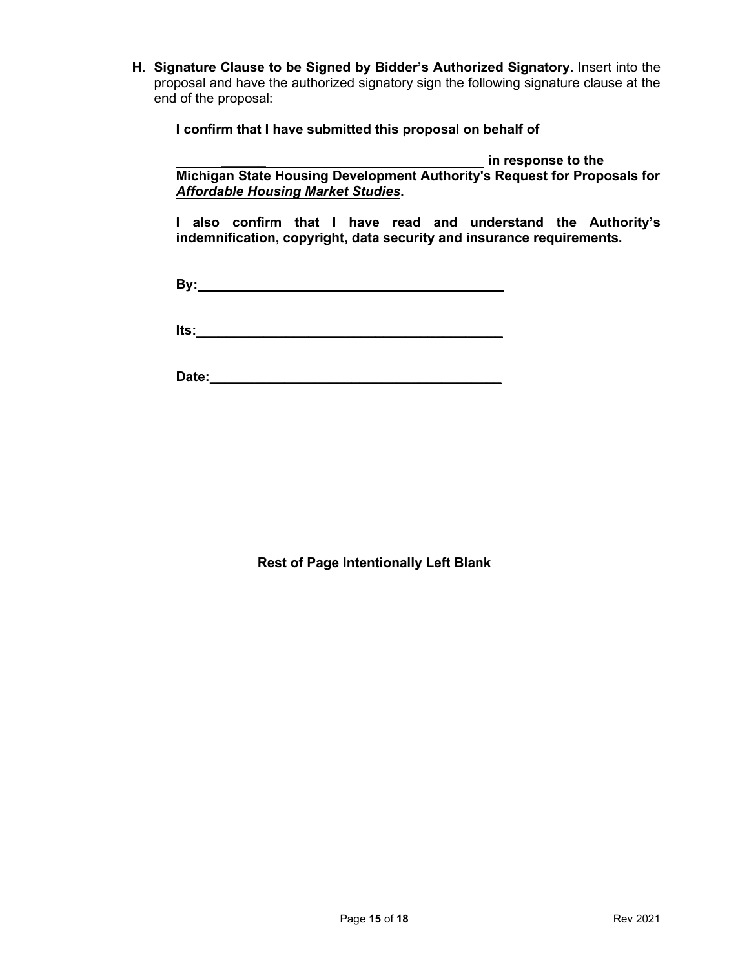**H. Signature Clause to be Signed by Bidder's Authorized Signatory.** Insert into the proposal and have the authorized signatory sign the following signature clause at the end of the proposal:

**I confirm that I have submitted this proposal on behalf of** 

*\_\_\_\_\_\_* **in response to the Michigan State Housing Development Authority's Request for Proposals for** *Affordable Housing Market Studies***.**

**I also confirm that I have read and understand the Authority's indemnification, copyright, data security and insurance requirements.** 

**By:\_\_\_\_\_\_\_\_\_\_\_\_\_\_\_\_\_\_\_\_\_\_\_\_\_\_\_\_\_\_\_\_\_\_\_\_\_\_\_\_\_**

**Its:** 

**Date:\_\_\_\_\_\_\_\_\_\_\_\_\_\_\_\_\_\_\_\_\_\_\_\_\_\_\_\_\_\_\_\_\_\_\_\_\_\_\_**

**Rest of Page Intentionally Left Blank**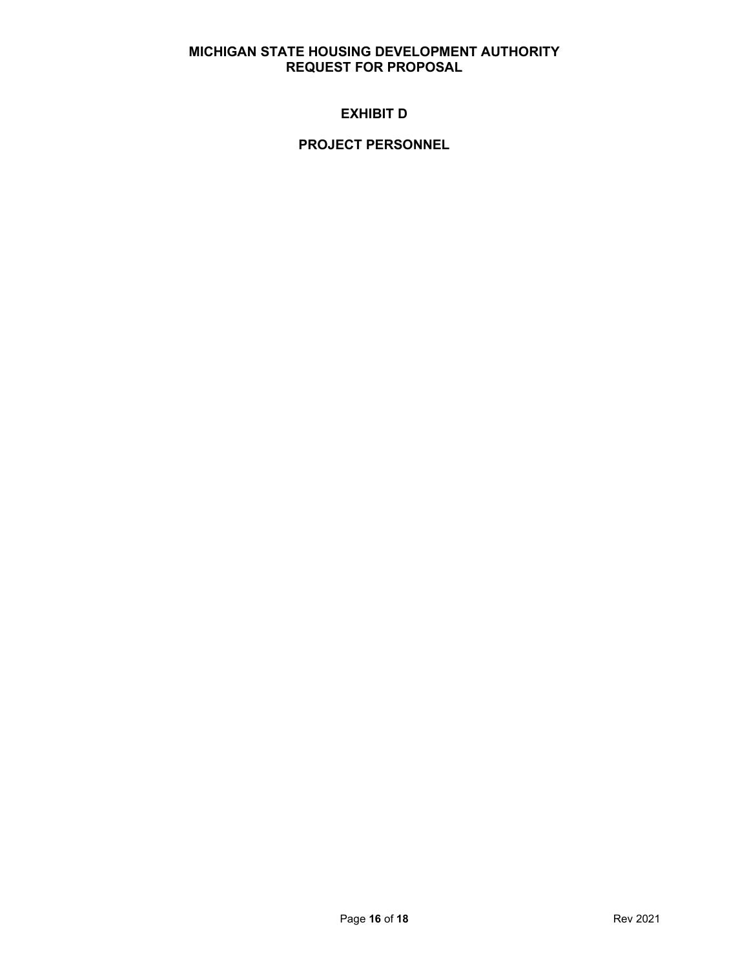## **EXHIBIT D**

## **PROJECT PERSONNEL**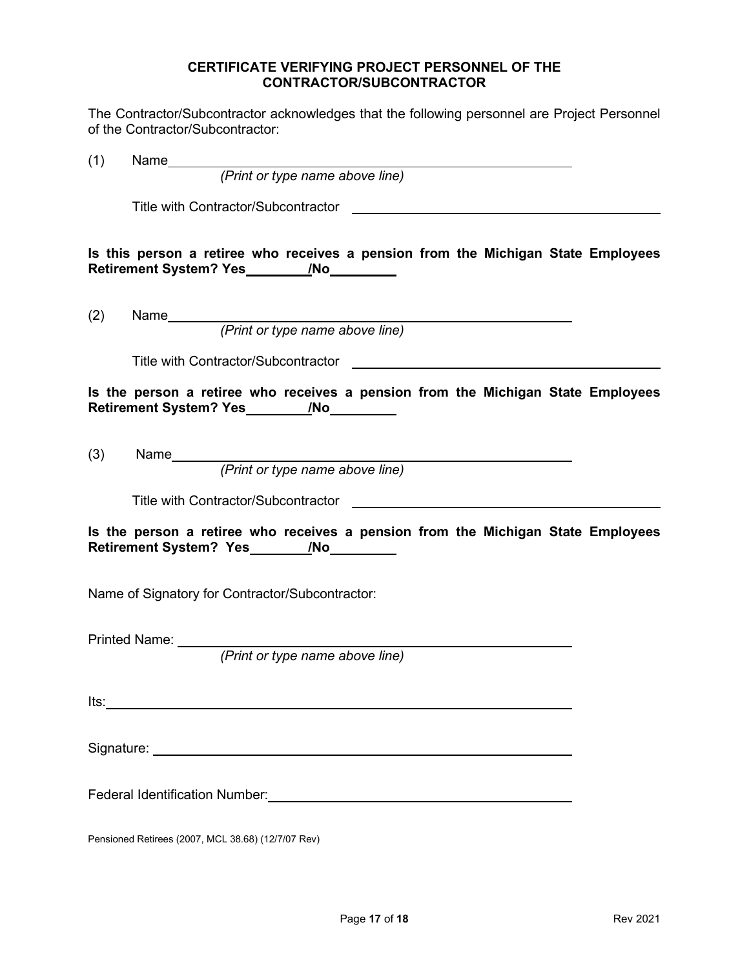#### **CERTIFICATE VERIFYING PROJECT PERSONNEL OF THE CONTRACTOR/SUBCONTRACTOR**

The Contractor/Subcontractor acknowledges that the following personnel are Project Personnel of the Contractor/Subcontractor:

| (1)  |                                                                                                                                                                                                                                |  |
|------|--------------------------------------------------------------------------------------------------------------------------------------------------------------------------------------------------------------------------------|--|
|      |                                                                                                                                                                                                                                |  |
|      | Title with Contractor/Subcontractor <b>Contractor</b>                                                                                                                                                                          |  |
|      | Is this person a retiree who receives a pension from the Michigan State Employees                                                                                                                                              |  |
| (2)  | Name<br>(Print or type name above line)                                                                                                                                                                                        |  |
|      |                                                                                                                                                                                                                                |  |
|      | Is the person a retiree who receives a pension from the Michigan State Employees                                                                                                                                               |  |
| (3)  |                                                                                                                                                                                                                                |  |
|      |                                                                                                                                                                                                                                |  |
|      | Is the person a retiree who receives a pension from the Michigan State Employees                                                                                                                                               |  |
|      | Name of Signatory for Contractor/Subcontractor:                                                                                                                                                                                |  |
|      |                                                                                                                                                                                                                                |  |
|      |                                                                                                                                                                                                                                |  |
| lts: |                                                                                                                                                                                                                                |  |
|      |                                                                                                                                                                                                                                |  |
|      | Federal Identification Number: University of the Contract of the Contract of the Contract of the Contract of the Contract of the Contract of the Contract of the Contract of the Contract of the Contract of the Contract of t |  |
|      | Pensioned Retirees (2007, MCL 38.68) (12/7/07 Rev)                                                                                                                                                                             |  |